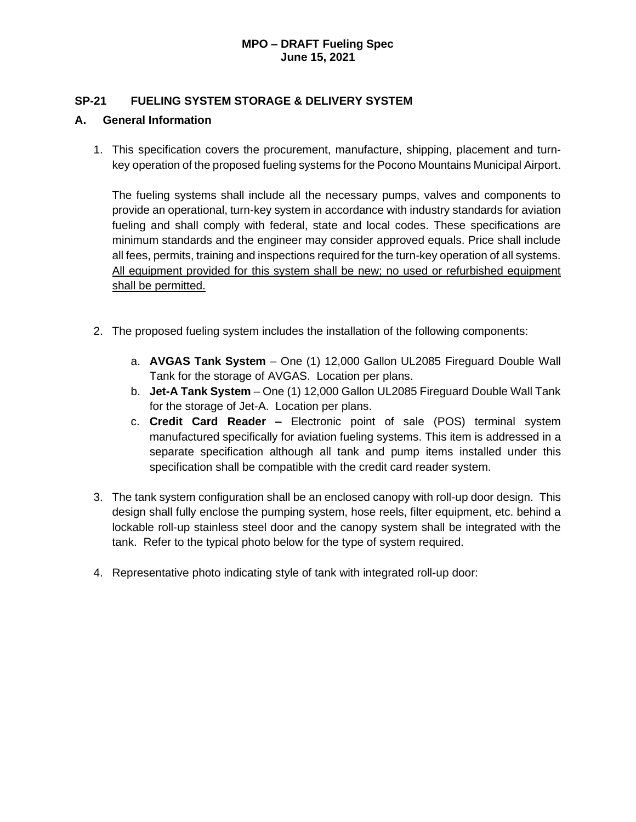### **SP-21 FUELING SYSTEM STORAGE & DELIVERY SYSTEM**

### **A. General Information**

1. This specification covers the procurement, manufacture, shipping, placement and turnkey operation of the proposed fueling systems for the Pocono Mountains Municipal Airport.

The fueling systems shall include all the necessary pumps, valves and components to provide an operational, turn-key system in accordance with industry standards for aviation fueling and shall comply with federal, state and local codes. These specifications are minimum standards and the engineer may consider approved equals. Price shall include all fees, permits, training and inspections required for the turn-key operation of all systems. All equipment provided for this system shall be new; no used or refurbished equipment shall be permitted.

- 2. The proposed fueling system includes the installation of the following components:
	- a. **AVGAS Tank System** One (1) 12,000 Gallon UL2085 Fireguard Double Wall Tank for the storage of AVGAS. Location per plans.
	- b. **Jet-A Tank System** One (1) 12,000 Gallon UL2085 Fireguard Double Wall Tank for the storage of Jet-A. Location per plans.
	- c. **Credit Card Reader –** Electronic point of sale (POS) terminal system manufactured specifically for aviation fueling systems. This item is addressed in a separate specification although all tank and pump items installed under this specification shall be compatible with the credit card reader system.
- 3. The tank system configuration shall be an enclosed canopy with roll-up door design. This design shall fully enclose the pumping system, hose reels, filter equipment, etc. behind a lockable roll-up stainless steel door and the canopy system shall be integrated with the tank. Refer to the typical photo below for the type of system required.
- 4. Representative photo indicating style of tank with integrated roll-up door: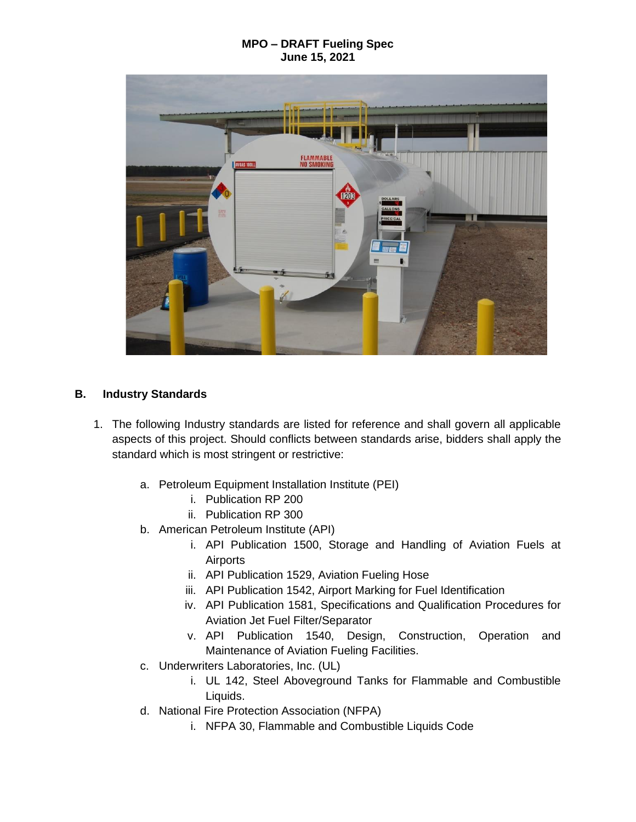

# **B. Industry Standards**

- 1. The following Industry standards are listed for reference and shall govern all applicable aspects of this project. Should conflicts between standards arise, bidders shall apply the standard which is most stringent or restrictive:
	- a. Petroleum Equipment Installation Institute (PEI)
		- i. Publication RP 200
		- ii. Publication RP 300
	- b. American Petroleum Institute (API)
		- i. API Publication 1500, Storage and Handling of Aviation Fuels at Airports
		- ii. API Publication 1529, Aviation Fueling Hose
		- iii. API Publication 1542, Airport Marking for Fuel Identification
		- iv. API Publication 1581, Specifications and Qualification Procedures for Aviation Jet Fuel Filter/Separator
		- v. API Publication 1540, Design, Construction, Operation and Maintenance of Aviation Fueling Facilities.
	- c. Underwriters Laboratories, Inc. (UL)
		- i. UL 142, Steel Aboveground Tanks for Flammable and Combustible Liquids.
	- d. National Fire Protection Association (NFPA)
		- i. NFPA 30, Flammable and Combustible Liquids Code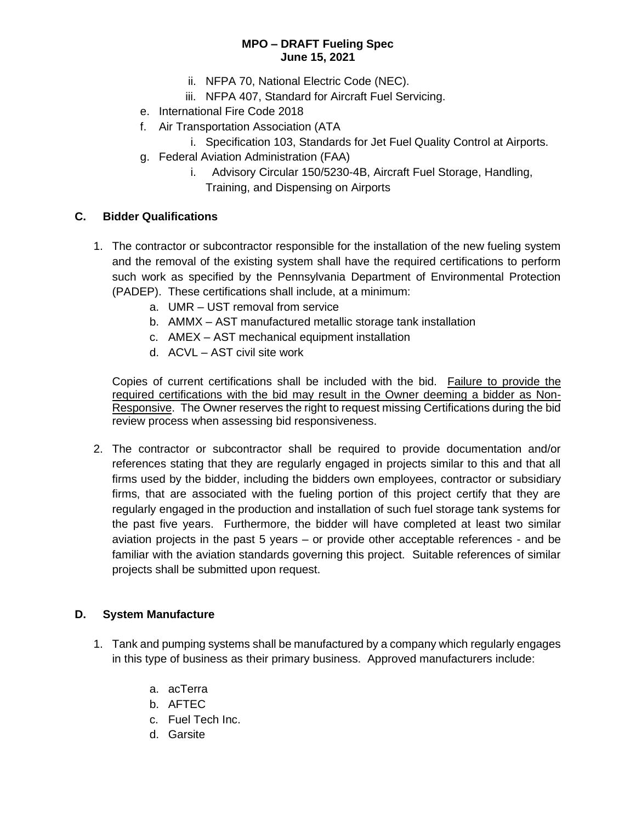- ii. NFPA 70, National Electric Code (NEC).
- iii. NFPA 407, Standard for Aircraft Fuel Servicing.
- e. International Fire Code 2018
- f. Air Transportation Association (ATA
	- i. Specification 103, Standards for Jet Fuel Quality Control at Airports.
- g. Federal Aviation Administration (FAA)
	- i.Advisory Circular 150/5230-4B, Aircraft Fuel Storage, Handling, Training, and Dispensing on Airports

### **C. Bidder Qualifications**

- 1. The contractor or subcontractor responsible for the installation of the new fueling system and the removal of the existing system shall have the required certifications to perform such work as specified by the Pennsylvania Department of Environmental Protection (PADEP). These certifications shall include, at a minimum:
	- a. UMR UST removal from service
	- b. AMMX AST manufactured metallic storage tank installation
	- c. AMEX AST mechanical equipment installation
	- d. ACVL AST civil site work

Copies of current certifications shall be included with the bid. Failure to provide the required certifications with the bid may result in the Owner deeming a bidder as Non-Responsive. The Owner reserves the right to request missing Certifications during the bid review process when assessing bid responsiveness.

2. The contractor or subcontractor shall be required to provide documentation and/or references stating that they are regularly engaged in projects similar to this and that all firms used by the bidder, including the bidders own employees, contractor or subsidiary firms, that are associated with the fueling portion of this project certify that they are regularly engaged in the production and installation of such fuel storage tank systems for the past five years. Furthermore, the bidder will have completed at least two similar aviation projects in the past 5 years – or provide other acceptable references - and be familiar with the aviation standards governing this project. Suitable references of similar projects shall be submitted upon request.

### **D. System Manufacture**

- 1. Tank and pumping systems shall be manufactured by a company which regularly engages in this type of business as their primary business. Approved manufacturers include:
	- a. acTerra
	- b. AFTEC
	- c. Fuel Tech Inc.
	- d. Garsite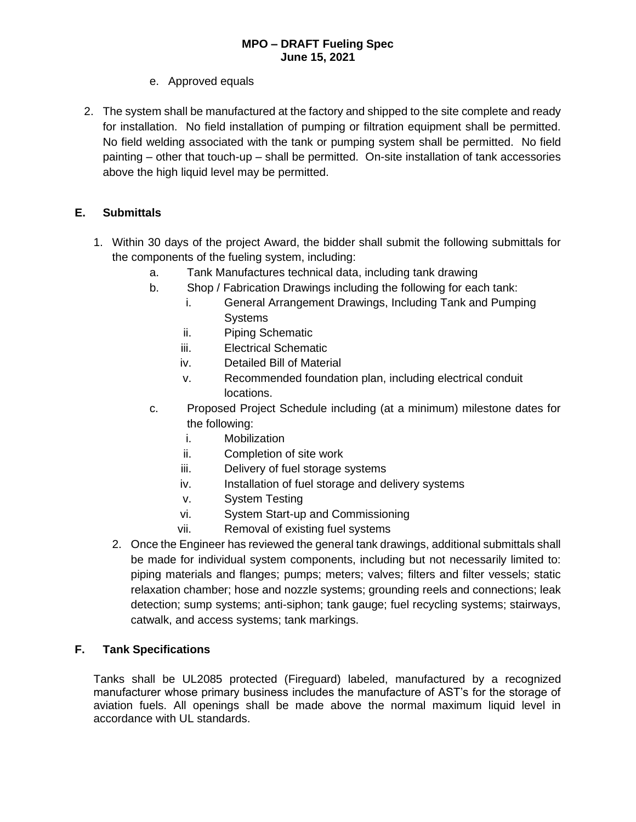- e. Approved equals
- 2. The system shall be manufactured at the factory and shipped to the site complete and ready for installation. No field installation of pumping or filtration equipment shall be permitted. No field welding associated with the tank or pumping system shall be permitted. No field painting – other that touch-up – shall be permitted. On-site installation of tank accessories above the high liquid level may be permitted.

# **E. Submittals**

- 1. Within 30 days of the project Award, the bidder shall submit the following submittals for the components of the fueling system, including:
	- a. Tank Manufactures technical data, including tank drawing
	- b. Shop / Fabrication Drawings including the following for each tank:
		- i. General Arrangement Drawings, Including Tank and Pumping **Systems**
		- ii. Piping Schematic
		- iii. Electrical Schematic
		- iv. Detailed Bill of Material
		- v. Recommended foundation plan, including electrical conduit locations.
	- c. Proposed Project Schedule including (at a minimum) milestone dates for the following:
		- i. Mobilization
		- ii. Completion of site work
		- iii. Delivery of fuel storage systems
		- iv. Installation of fuel storage and delivery systems
		- v. System Testing
		- vi. System Start-up and Commissioning
		- vii. Removal of existing fuel systems
	- 2. Once the Engineer has reviewed the general tank drawings, additional submittals shall be made for individual system components, including but not necessarily limited to: piping materials and flanges; pumps; meters; valves; filters and filter vessels; static relaxation chamber; hose and nozzle systems; grounding reels and connections; leak detection; sump systems; anti-siphon; tank gauge; fuel recycling systems; stairways, catwalk, and access systems; tank markings.

# **F. Tank Specifications**

Tanks shall be UL2085 protected (Fireguard) labeled, manufactured by a recognized manufacturer whose primary business includes the manufacture of AST's for the storage of aviation fuels. All openings shall be made above the normal maximum liquid level in accordance with UL standards.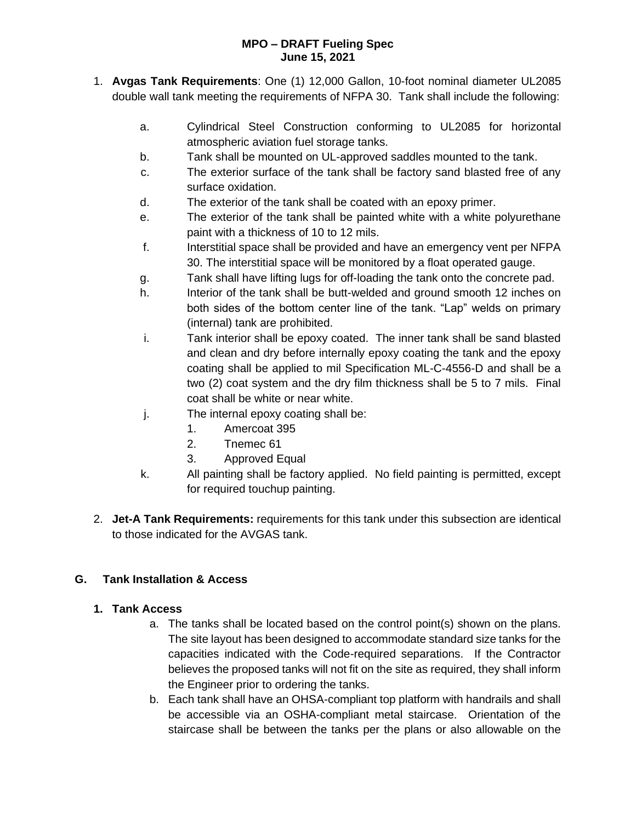- 1. **Avgas Tank Requirements**: One (1) 12,000 Gallon, 10-foot nominal diameter UL2085 double wall tank meeting the requirements of NFPA 30. Tank shall include the following:
	- a. Cylindrical Steel Construction conforming to UL2085 for horizontal atmospheric aviation fuel storage tanks.
	- b. Tank shall be mounted on UL-approved saddles mounted to the tank.
	- c. The exterior surface of the tank shall be factory sand blasted free of any surface oxidation.
	- d. The exterior of the tank shall be coated with an epoxy primer.
	- e. The exterior of the tank shall be painted white with a white polyurethane paint with a thickness of 10 to 12 mils.
	- f. Interstitial space shall be provided and have an emergency vent per NFPA 30. The interstitial space will be monitored by a float operated gauge.
	- g. Tank shall have lifting lugs for off-loading the tank onto the concrete pad.
	- h. Interior of the tank shall be butt-welded and ground smooth 12 inches on both sides of the bottom center line of the tank. "Lap" welds on primary (internal) tank are prohibited.
	- i. Tank interior shall be epoxy coated. The inner tank shall be sand blasted and clean and dry before internally epoxy coating the tank and the epoxy coating shall be applied to mil Specification ML-C-4556-D and shall be a two (2) coat system and the dry film thickness shall be 5 to 7 mils. Final coat shall be white or near white.
	- j. The internal epoxy coating shall be:
		- 1. Amercoat 395
		- 2. Tnemec 61
		- 3. Approved Equal
	- k. All painting shall be factory applied. No field painting is permitted, except for required touchup painting.
- 2. **Jet-A Tank Requirements:** requirements for this tank under this subsection are identical to those indicated for the AVGAS tank.

# **G. Tank Installation & Access**

# **1. Tank Access**

- a. The tanks shall be located based on the control point(s) shown on the plans. The site layout has been designed to accommodate standard size tanks for the capacities indicated with the Code-required separations. If the Contractor believes the proposed tanks will not fit on the site as required, they shall inform the Engineer prior to ordering the tanks.
- b. Each tank shall have an OHSA-compliant top platform with handrails and shall be accessible via an OSHA-compliant metal staircase. Orientation of the staircase shall be between the tanks per the plans or also allowable on the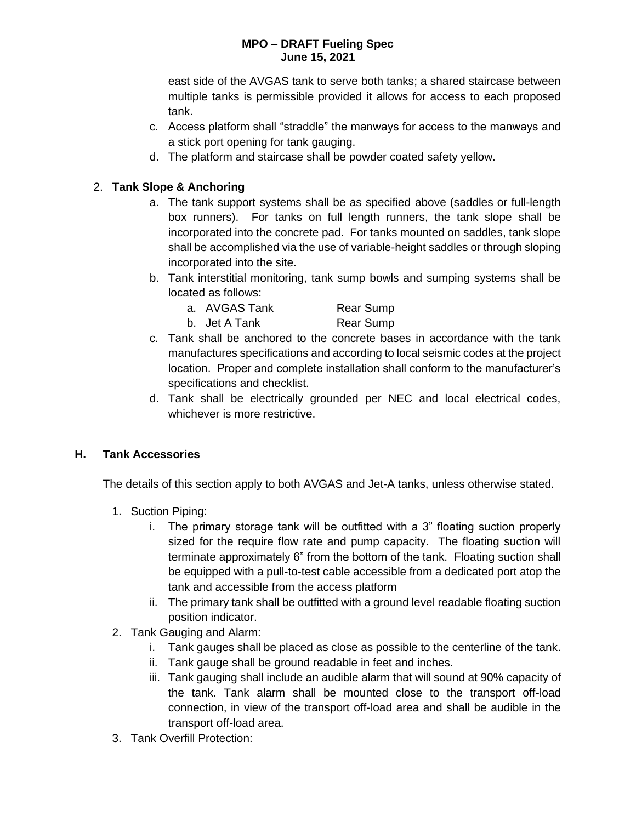east side of the AVGAS tank to serve both tanks; a shared staircase between multiple tanks is permissible provided it allows for access to each proposed tank.

- c. Access platform shall "straddle" the manways for access to the manways and a stick port opening for tank gauging.
- d. The platform and staircase shall be powder coated safety yellow.

# 2. **Tank Slope & Anchoring**

- a. The tank support systems shall be as specified above (saddles or full-length box runners). For tanks on full length runners, the tank slope shall be incorporated into the concrete pad. For tanks mounted on saddles, tank slope shall be accomplished via the use of variable-height saddles or through sloping incorporated into the site.
- b. Tank interstitial monitoring, tank sump bowls and sumping systems shall be located as follows:
	- a. AVGAS Tank Rear Sump
	- b. Jet A Tank Rear Sump
- c. Tank shall be anchored to the concrete bases in accordance with the tank manufactures specifications and according to local seismic codes at the project location. Proper and complete installation shall conform to the manufacturer's specifications and checklist.
- d. Tank shall be electrically grounded per NEC and local electrical codes, whichever is more restrictive.

# **H. Tank Accessories**

The details of this section apply to both AVGAS and Jet-A tanks, unless otherwise stated.

- 1. Suction Piping:
	- i. The primary storage tank will be outfitted with a 3" floating suction properly sized for the require flow rate and pump capacity. The floating suction will terminate approximately 6" from the bottom of the tank. Floating suction shall be equipped with a pull-to-test cable accessible from a dedicated port atop the tank and accessible from the access platform
	- ii. The primary tank shall be outfitted with a ground level readable floating suction position indicator.
- 2. Tank Gauging and Alarm:
	- i. Tank gauges shall be placed as close as possible to the centerline of the tank.
	- ii. Tank gauge shall be ground readable in feet and inches.
	- iii. Tank gauging shall include an audible alarm that will sound at 90% capacity of the tank. Tank alarm shall be mounted close to the transport off-load connection, in view of the transport off-load area and shall be audible in the transport off-load area.
- 3. Tank Overfill Protection: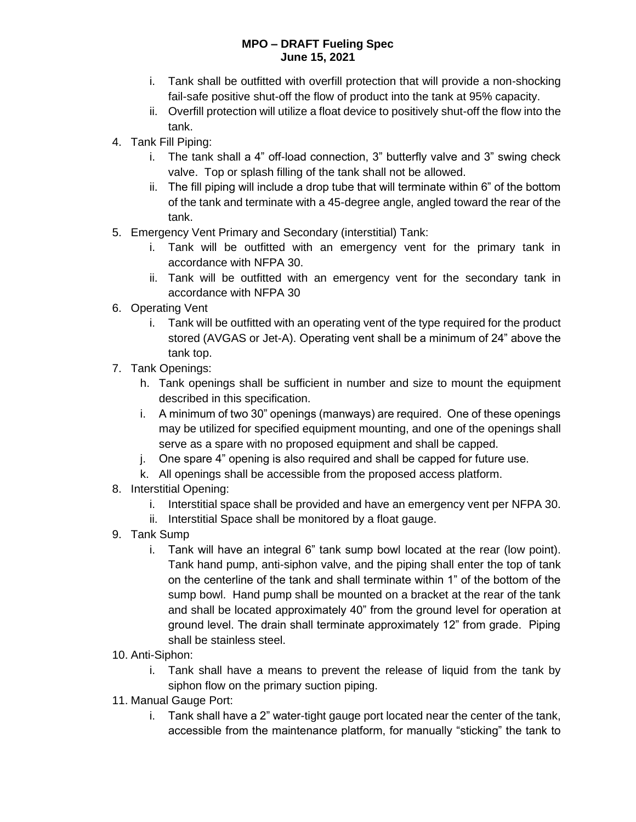- i. Tank shall be outfitted with overfill protection that will provide a non-shocking fail-safe positive shut-off the flow of product into the tank at 95% capacity.
- ii. Overfill protection will utilize a float device to positively shut-off the flow into the tank.
- 4. Tank Fill Piping:
	- i. The tank shall a 4" off-load connection, 3" butterfly valve and 3" swing check valve. Top or splash filling of the tank shall not be allowed.
	- ii. The fill piping will include a drop tube that will terminate within 6" of the bottom of the tank and terminate with a 45-degree angle, angled toward the rear of the tank.
- 5. Emergency Vent Primary and Secondary (interstitial) Tank:
	- i. Tank will be outfitted with an emergency vent for the primary tank in accordance with NFPA 30.
	- ii. Tank will be outfitted with an emergency vent for the secondary tank in accordance with NFPA 30
- 6. Operating Vent
	- i. Tank will be outfitted with an operating vent of the type required for the product stored (AVGAS or Jet-A). Operating vent shall be a minimum of 24" above the tank top.
- 7. Tank Openings:
	- h. Tank openings shall be sufficient in number and size to mount the equipment described in this specification.
	- i. A minimum of two 30" openings (manways) are required. One of these openings may be utilized for specified equipment mounting, and one of the openings shall serve as a spare with no proposed equipment and shall be capped.
	- j. One spare 4" opening is also required and shall be capped for future use.
	- k. All openings shall be accessible from the proposed access platform.
- 8. Interstitial Opening:
	- i. Interstitial space shall be provided and have an emergency vent per NFPA 30.
	- ii. Interstitial Space shall be monitored by a float gauge.
- 9. Tank Sump
	- i. Tank will have an integral 6" tank sump bowl located at the rear (low point). Tank hand pump, anti-siphon valve, and the piping shall enter the top of tank on the centerline of the tank and shall terminate within 1" of the bottom of the sump bowl. Hand pump shall be mounted on a bracket at the rear of the tank and shall be located approximately 40" from the ground level for operation at ground level. The drain shall terminate approximately 12" from grade. Piping shall be stainless steel.
- 10. Anti-Siphon:
	- i. Tank shall have a means to prevent the release of liquid from the tank by siphon flow on the primary suction piping.
- 11. Manual Gauge Port:
	- i. Tank shall have a 2" water-tight gauge port located near the center of the tank, accessible from the maintenance platform, for manually "sticking" the tank to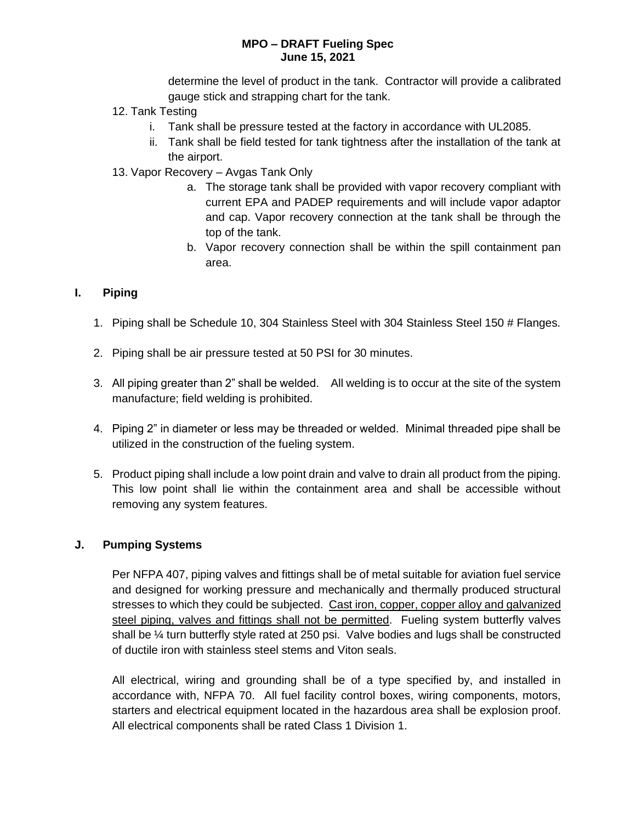determine the level of product in the tank. Contractor will provide a calibrated gauge stick and strapping chart for the tank.

- 12. Tank Testing
	- i. Tank shall be pressure tested at the factory in accordance with UL2085.
	- ii. Tank shall be field tested for tank tightness after the installation of the tank at the airport.
- 13. Vapor Recovery Avgas Tank Only
	- a. The storage tank shall be provided with vapor recovery compliant with current EPA and PADEP requirements and will include vapor adaptor and cap. Vapor recovery connection at the tank shall be through the top of the tank.
	- b. Vapor recovery connection shall be within the spill containment pan area.

### **I. Piping**

- 1. Piping shall be Schedule 10, 304 Stainless Steel with 304 Stainless Steel 150 # Flanges.
- 2. Piping shall be air pressure tested at 50 PSI for 30 minutes.
- 3. All piping greater than 2" shall be welded. All welding is to occur at the site of the system manufacture; field welding is prohibited.
- 4. Piping 2" in diameter or less may be threaded or welded. Minimal threaded pipe shall be utilized in the construction of the fueling system.
- 5. Product piping shall include a low point drain and valve to drain all product from the piping. This low point shall lie within the containment area and shall be accessible without removing any system features.

### **J. Pumping Systems**

Per NFPA 407, piping valves and fittings shall be of metal suitable for aviation fuel service and designed for working pressure and mechanically and thermally produced structural stresses to which they could be subjected. Cast iron, copper, copper alloy and galvanized steel piping, valves and fittings shall not be permitted. Fueling system butterfly valves shall be ¼ turn butterfly style rated at 250 psi. Valve bodies and lugs shall be constructed of ductile iron with stainless steel stems and Viton seals.

All electrical, wiring and grounding shall be of a type specified by, and installed in accordance with, NFPA 70. All fuel facility control boxes, wiring components, motors, starters and electrical equipment located in the hazardous area shall be explosion proof. All electrical components shall be rated Class 1 Division 1.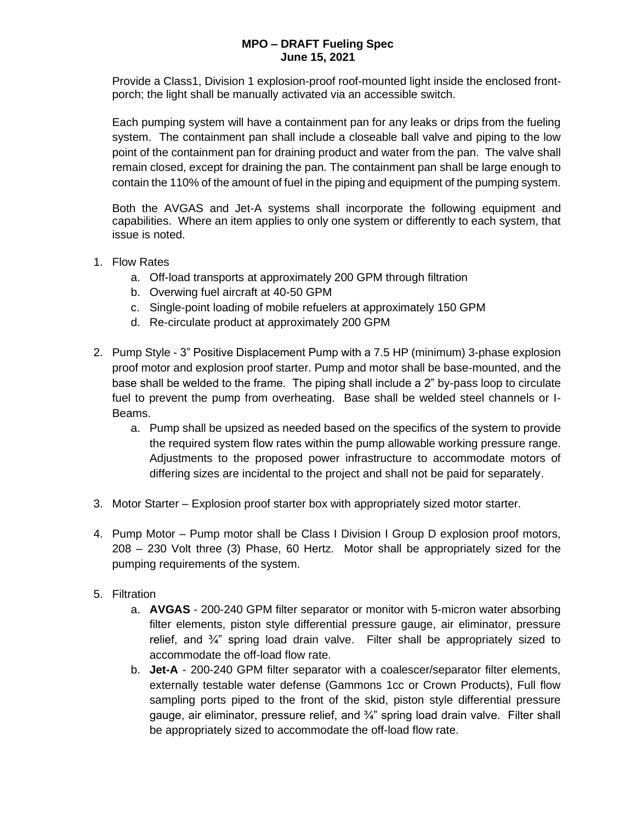Provide a Class1, Division 1 explosion-proof roof-mounted light inside the enclosed frontporch; the light shall be manually activated via an accessible switch.

Each pumping system will have a containment pan for any leaks or drips from the fueling system. The containment pan shall include a closeable ball valve and piping to the low point of the containment pan for draining product and water from the pan. The valve shall remain closed, except for draining the pan. The containment pan shall be large enough to contain the 110% of the amount of fuel in the piping and equipment of the pumping system.

Both the AVGAS and Jet-A systems shall incorporate the following equipment and capabilities. Where an item applies to only one system or differently to each system, that issue is noted.

- 1. Flow Rates
	- a. Off-load transports at approximately 200 GPM through filtration
	- b. Overwing fuel aircraft at 40-50 GPM
	- c. Single-point loading of mobile refuelers at approximately 150 GPM
	- d. Re-circulate product at approximately 200 GPM
- 2. Pump Style 3" Positive Displacement Pump with a 7.5 HP (minimum) 3-phase explosion proof motor and explosion proof starter. Pump and motor shall be base-mounted, and the base shall be welded to the frame. The piping shall include a 2" by-pass loop to circulate fuel to prevent the pump from overheating. Base shall be welded steel channels or I-Beams.
	- a. Pump shall be upsized as needed based on the specifics of the system to provide the required system flow rates within the pump allowable working pressure range. Adjustments to the proposed power infrastructure to accommodate motors of differing sizes are incidental to the project and shall not be paid for separately.
- 3. Motor Starter Explosion proof starter box with appropriately sized motor starter.
- 4. Pump Motor Pump motor shall be Class I Division I Group D explosion proof motors, 208 – 230 Volt three (3) Phase, 60 Hertz. Motor shall be appropriately sized for the pumping requirements of the system.
- 5. Filtration
	- a. **AVGAS**  200-240 GPM filter separator or monitor with 5-micron water absorbing filter elements, piston style differential pressure gauge, air eliminator, pressure relief, and ¾" spring load drain valve. Filter shall be appropriately sized to accommodate the off-load flow rate.
	- b. **Jet-A** 200-240 GPM filter separator with a coalescer/separator filter elements, externally testable water defense (Gammons 1cc or Crown Products), Full flow sampling ports piped to the front of the skid, piston style differential pressure gauge, air eliminator, pressure relief, and  $\frac{3}{4}$  spring load drain valve. Filter shall be appropriately sized to accommodate the off-load flow rate.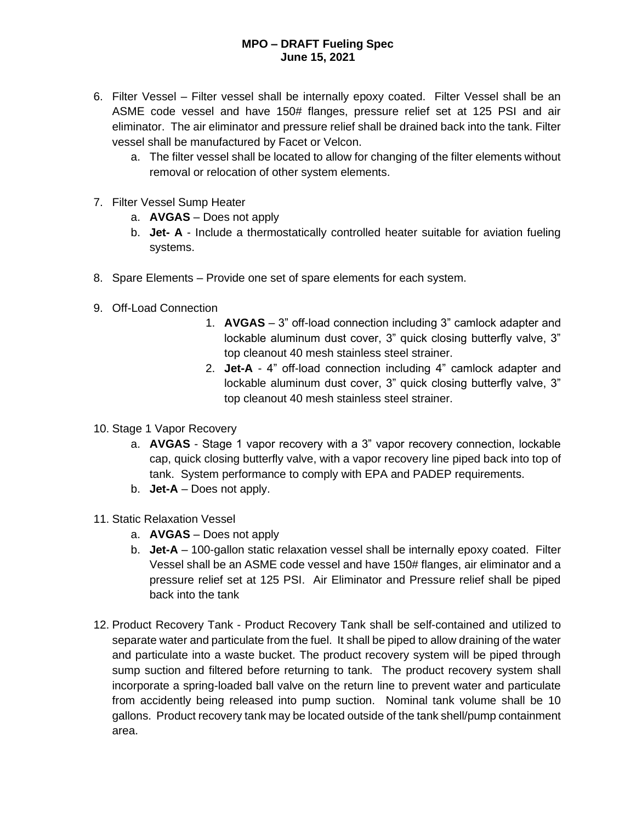- 6. Filter Vessel Filter vessel shall be internally epoxy coated. Filter Vessel shall be an ASME code vessel and have 150# flanges, pressure relief set at 125 PSI and air eliminator. The air eliminator and pressure relief shall be drained back into the tank. Filter vessel shall be manufactured by Facet or Velcon.
	- a. The filter vessel shall be located to allow for changing of the filter elements without removal or relocation of other system elements.
- 7. Filter Vessel Sump Heater
	- a. **AVGAS** Does not apply
	- b. **Jet- A** Include a thermostatically controlled heater suitable for aviation fueling systems.
- 8. Spare Elements Provide one set of spare elements for each system.
- 9. Off-Load Connection
	- 1. **AVGAS** 3" off-load connection including 3" camlock adapter and lockable aluminum dust cover, 3" quick closing butterfly valve, 3" top cleanout 40 mesh stainless steel strainer.
	- 2. **Jet-A** 4" off-load connection including 4" camlock adapter and lockable aluminum dust cover, 3" quick closing butterfly valve, 3" top cleanout 40 mesh stainless steel strainer.
- 10. Stage 1 Vapor Recovery
	- a. **AVGAS** Stage 1 vapor recovery with a 3" vapor recovery connection, lockable cap, quick closing butterfly valve, with a vapor recovery line piped back into top of tank. System performance to comply with EPA and PADEP requirements.
	- b. **Jet-A** Does not apply.
- 11. Static Relaxation Vessel
	- a. **AVGAS** Does not apply
	- b. **Jet-A** 100-gallon static relaxation vessel shall be internally epoxy coated. Filter Vessel shall be an ASME code vessel and have 150# flanges, air eliminator and a pressure relief set at 125 PSI. Air Eliminator and Pressure relief shall be piped back into the tank
- 12. Product Recovery Tank Product Recovery Tank shall be self-contained and utilized to separate water and particulate from the fuel. It shall be piped to allow draining of the water and particulate into a waste bucket. The product recovery system will be piped through sump suction and filtered before returning to tank. The product recovery system shall incorporate a spring-loaded ball valve on the return line to prevent water and particulate from accidently being released into pump suction. Nominal tank volume shall be 10 gallons. Product recovery tank may be located outside of the tank shell/pump containment area.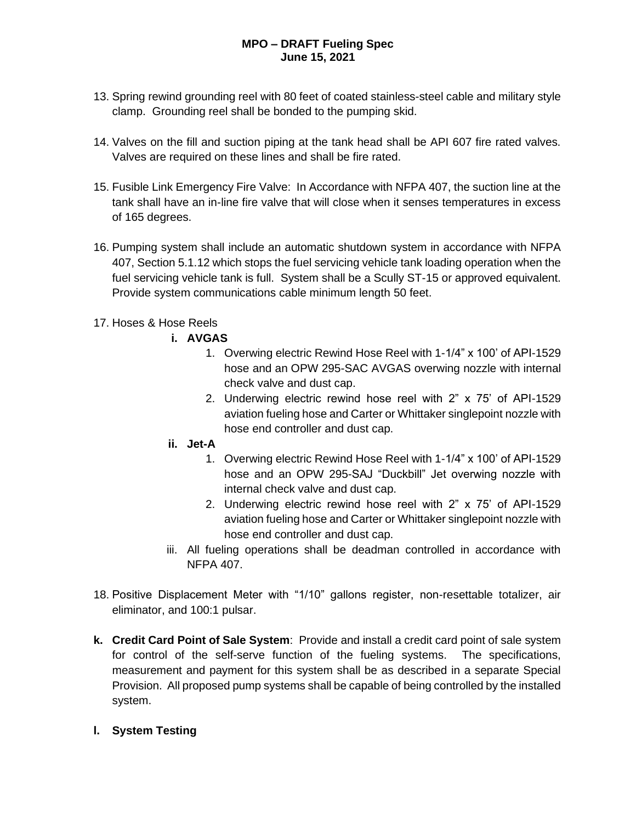- 13. Spring rewind grounding reel with 80 feet of coated stainless-steel cable and military style clamp. Grounding reel shall be bonded to the pumping skid.
- 14. Valves on the fill and suction piping at the tank head shall be API 607 fire rated valves. Valves are required on these lines and shall be fire rated.
- 15. Fusible Link Emergency Fire Valve: In Accordance with NFPA 407, the suction line at the tank shall have an in-line fire valve that will close when it senses temperatures in excess of 165 degrees.
- 16. Pumping system shall include an automatic shutdown system in accordance with NFPA 407, Section 5.1.12 which stops the fuel servicing vehicle tank loading operation when the fuel servicing vehicle tank is full. System shall be a Scully ST-15 or approved equivalent. Provide system communications cable minimum length 50 feet.
- 17. Hoses & Hose Reels
	- **i. AVGAS**
		- 1. Overwing electric Rewind Hose Reel with 1-1/4" x 100' of API-1529 hose and an OPW 295-SAC AVGAS overwing nozzle with internal check valve and dust cap.
		- 2. Underwing electric rewind hose reel with 2" x 75' of API-1529 aviation fueling hose and Carter or Whittaker singlepoint nozzle with hose end controller and dust cap.
	- **ii. Jet-A**
		- 1. Overwing electric Rewind Hose Reel with 1-1/4" x 100' of API-1529 hose and an OPW 295-SAJ "Duckbill" Jet overwing nozzle with internal check valve and dust cap.
		- 2. Underwing electric rewind hose reel with 2" x 75' of API-1529 aviation fueling hose and Carter or Whittaker singlepoint nozzle with hose end controller and dust cap.
	- iii. All fueling operations shall be deadman controlled in accordance with NFPA 407.
- 18. Positive Displacement Meter with "1/10" gallons register, non-resettable totalizer, air eliminator, and 100:1 pulsar.
- **k. Credit Card Point of Sale System**: Provide and install a credit card point of sale system for control of the self-serve function of the fueling systems. The specifications, measurement and payment for this system shall be as described in a separate Special Provision. All proposed pump systems shall be capable of being controlled by the installed system.
- **l. System Testing**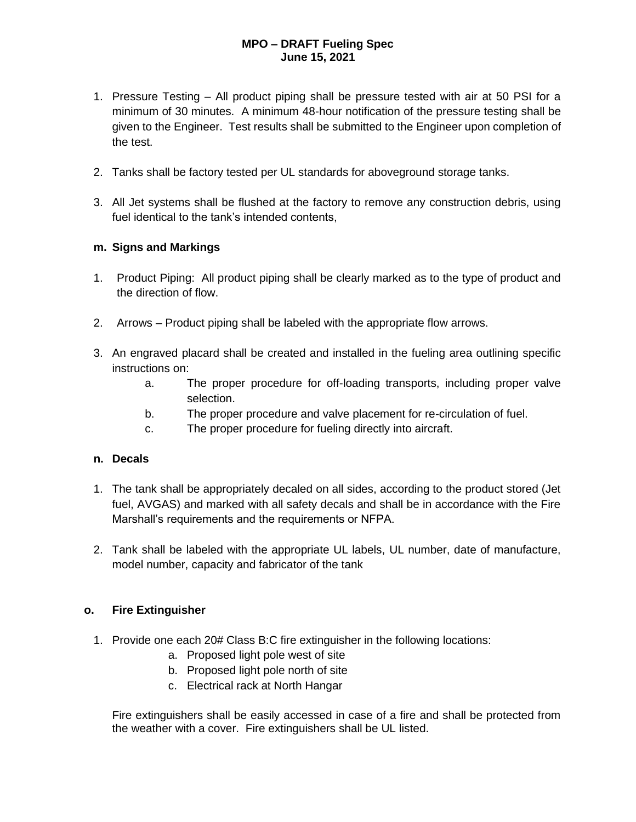- 1. Pressure Testing All product piping shall be pressure tested with air at 50 PSI for a minimum of 30 minutes. A minimum 48-hour notification of the pressure testing shall be given to the Engineer. Test results shall be submitted to the Engineer upon completion of the test.
- 2. Tanks shall be factory tested per UL standards for aboveground storage tanks.
- 3. All Jet systems shall be flushed at the factory to remove any construction debris, using fuel identical to the tank's intended contents,

### **m. Signs and Markings**

- 1. Product Piping: All product piping shall be clearly marked as to the type of product and the direction of flow.
- 2. Arrows Product piping shall be labeled with the appropriate flow arrows.
- 3. An engraved placard shall be created and installed in the fueling area outlining specific instructions on:
	- a. The proper procedure for off-loading transports, including proper valve selection.
	- b. The proper procedure and valve placement for re-circulation of fuel.
	- c. The proper procedure for fueling directly into aircraft.

### **n. Decals**

- 1. The tank shall be appropriately decaled on all sides, according to the product stored (Jet fuel, AVGAS) and marked with all safety decals and shall be in accordance with the Fire Marshall's requirements and the requirements or NFPA.
- 2. Tank shall be labeled with the appropriate UL labels, UL number, date of manufacture, model number, capacity and fabricator of the tank

### **o. Fire Extinguisher**

- 1. Provide one each 20# Class B:C fire extinguisher in the following locations:
	- a. Proposed light pole west of site
	- b. Proposed light pole north of site
	- c. Electrical rack at North Hangar

Fire extinguishers shall be easily accessed in case of a fire and shall be protected from the weather with a cover. Fire extinguishers shall be UL listed.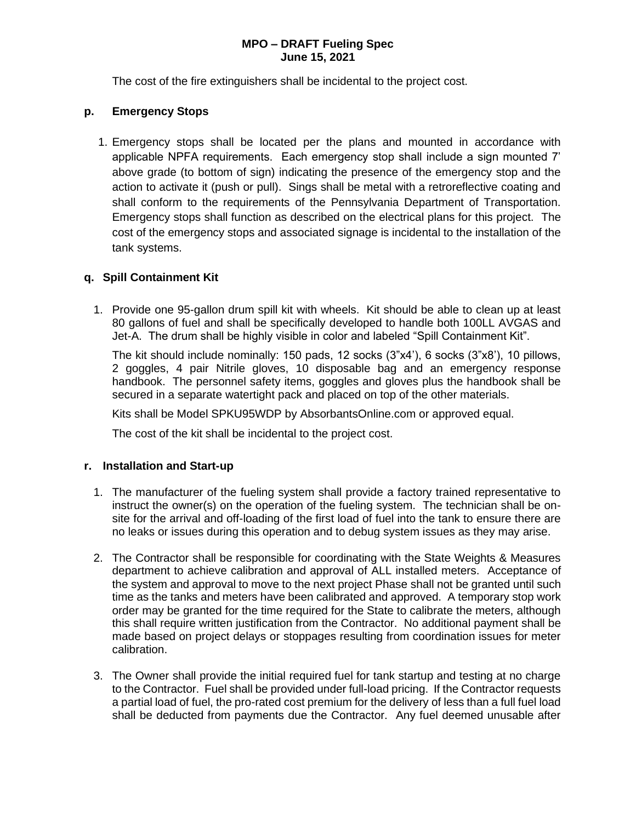The cost of the fire extinguishers shall be incidental to the project cost.

### **p. Emergency Stops**

1. Emergency stops shall be located per the plans and mounted in accordance with applicable NPFA requirements. Each emergency stop shall include a sign mounted 7' above grade (to bottom of sign) indicating the presence of the emergency stop and the action to activate it (push or pull). Sings shall be metal with a retroreflective coating and shall conform to the requirements of the Pennsylvania Department of Transportation. Emergency stops shall function as described on the electrical plans for this project. The cost of the emergency stops and associated signage is incidental to the installation of the tank systems.

### **q. Spill Containment Kit**

1. Provide one 95-gallon drum spill kit with wheels. Kit should be able to clean up at least 80 gallons of fuel and shall be specifically developed to handle both 100LL AVGAS and Jet-A. The drum shall be highly visible in color and labeled "Spill Containment Kit".

The kit should include nominally: 150 pads, 12 socks (3"x4'), 6 socks (3"x8'), 10 pillows, 2 goggles, 4 pair Nitrile gloves, 10 disposable bag and an emergency response handbook. The personnel safety items, goggles and gloves plus the handbook shall be secured in a separate watertight pack and placed on top of the other materials.

Kits shall be Model SPKU95WDP by AbsorbantsOnline.com or approved equal.

The cost of the kit shall be incidental to the project cost.

#### **r. Installation and Start-up**

- 1. The manufacturer of the fueling system shall provide a factory trained representative to instruct the owner(s) on the operation of the fueling system. The technician shall be onsite for the arrival and off-loading of the first load of fuel into the tank to ensure there are no leaks or issues during this operation and to debug system issues as they may arise.
- 2. The Contractor shall be responsible for coordinating with the State Weights & Measures department to achieve calibration and approval of ALL installed meters. Acceptance of the system and approval to move to the next project Phase shall not be granted until such time as the tanks and meters have been calibrated and approved. A temporary stop work order may be granted for the time required for the State to calibrate the meters, although this shall require written justification from the Contractor. No additional payment shall be made based on project delays or stoppages resulting from coordination issues for meter calibration.
- 3. The Owner shall provide the initial required fuel for tank startup and testing at no charge to the Contractor. Fuel shall be provided under full-load pricing. If the Contractor requests a partial load of fuel, the pro-rated cost premium for the delivery of less than a full fuel load shall be deducted from payments due the Contractor. Any fuel deemed unusable after